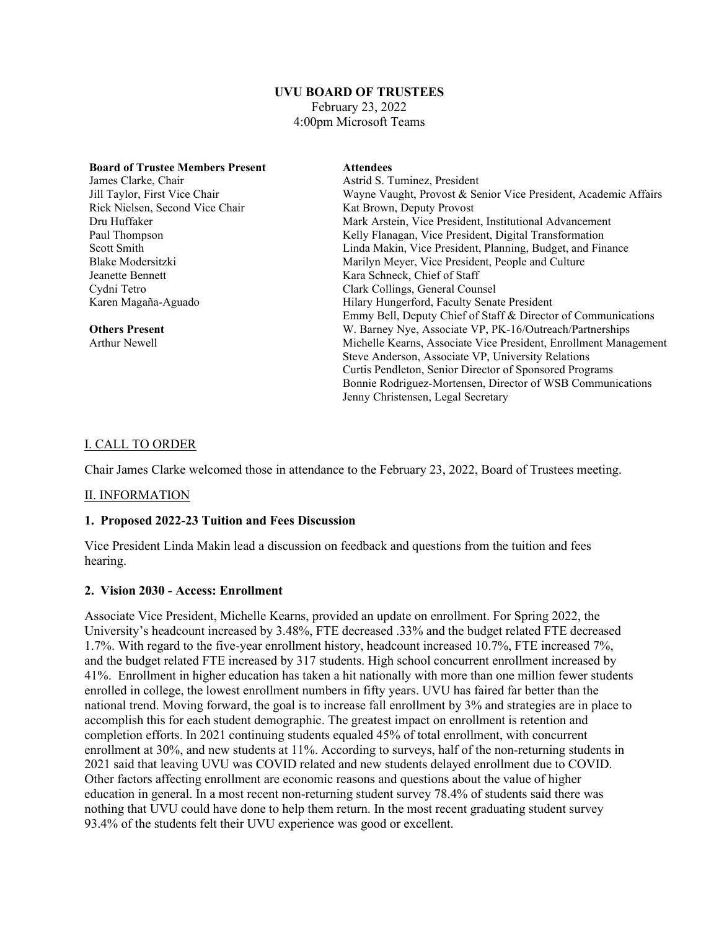# **UVU BOARD OF TRUSTEES**

February 23, 2022 4:00pm Microsoft Teams

| <b>Board of Trustee Members Present</b> | <b>Attendees</b>                                                 |
|-----------------------------------------|------------------------------------------------------------------|
| James Clarke, Chair                     | Astrid S. Tuminez, President                                     |
| Jill Taylor, First Vice Chair           | Wayne Vaught, Provost & Senior Vice President, Academic Affairs  |
| Rick Nielsen, Second Vice Chair         | Kat Brown, Deputy Provost                                        |
| Dru Huffaker                            | Mark Arstein, Vice President, Institutional Advancement          |
| Paul Thompson                           | Kelly Flanagan, Vice President, Digital Transformation           |
| Scott Smith                             | Linda Makin, Vice President, Planning, Budget, and Finance       |
| Blake Modersitzki                       | Marilyn Meyer, Vice President, People and Culture                |
| Jeanette Bennett                        | Kara Schneck, Chief of Staff                                     |
| Cydni Tetro                             | Clark Collings, General Counsel                                  |
| Karen Magaña-Aguado                     | Hilary Hungerford, Faculty Senate President                      |
|                                         | Emmy Bell, Deputy Chief of Staff & Director of Communications    |
| <b>Others Present</b>                   | W. Barney Nye, Associate VP, PK-16/Outreach/Partnerships         |
| <b>Arthur Newell</b>                    | Michelle Kearns, Associate Vice President, Enrollment Management |
|                                         | Steve Anderson, Associate VP, University Relations               |
|                                         | Curtis Pendleton, Senior Director of Sponsored Programs          |
|                                         | Bonnie Rodriguez-Mortensen, Director of WSB Communications       |
|                                         | Jenny Christensen, Legal Secretary                               |

#### I. CALL TO ORDER

Chair James Clarke welcomed those in attendance to the February 23, 2022, Board of Trustees meeting.

#### II. INFORMATION

#### **1. Proposed 2022-23 Tuition and Fees Discussion**

Vice President Linda Makin lead a discussion on feedback and questions from the tuition and fees hearing.

#### **2. Vision 2030 - Access: Enrollment**

Associate Vice President, Michelle Kearns, provided an update on enrollment. For Spring 2022, the University's headcount increased by 3.48%, FTE decreased .33% and the budget related FTE decreased 1.7%. With regard to the five-year enrollment history, headcount increased 10.7%, FTE increased 7%, and the budget related FTE increased by 317 students. High school concurrent enrollment increased by 41%. Enrollment in higher education has taken a hit nationally with more than one million fewer students enrolled in college, the lowest enrollment numbers in fifty years. UVU has faired far better than the national trend. Moving forward, the goal is to increase fall enrollment by 3% and strategies are in place to accomplish this for each student demographic. The greatest impact on enrollment is retention and completion efforts. In 2021 continuing students equaled 45% of total enrollment, with concurrent enrollment at 30%, and new students at 11%. According to surveys, half of the non-returning students in 2021 said that leaving UVU was COVID related and new students delayed enrollment due to COVID. Other factors affecting enrollment are economic reasons and questions about the value of higher education in general. In a most recent non-returning student survey 78.4% of students said there was nothing that UVU could have done to help them return. In the most recent graduating student survey 93.4% of the students felt their UVU experience was good or excellent.